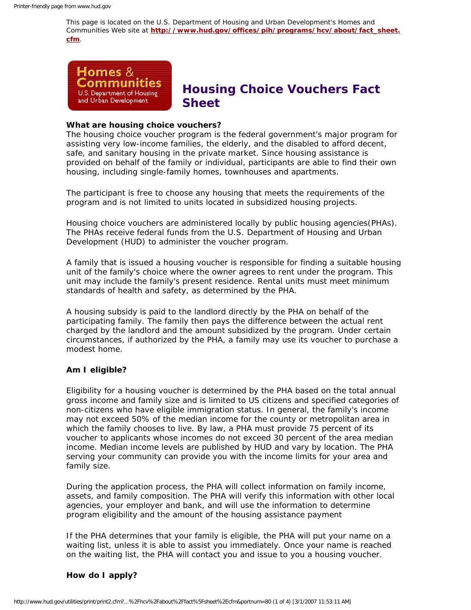This page is located on the U.S. Department of Housing and Urban Development's Homes and Communities Web site at **[http://www.hud.gov/offices/pih/programs/hcv/about/fact\\_sheet.](http://www.hud.gov/offices/pih/programs/hcv/about/fact_sheet.cfm) [cfm](http://www.hud.gov/offices/pih/programs/hcv/about/fact_sheet.cfm)**.



# **Housing Choice Vouchers Fact Sheet**

## **What are housing choice vouchers?**

The housing choice voucher program is the federal government's major program for assisting very low-income families, the elderly, and the disabled to afford decent, safe, and sanitary housing in the private market. Since housing assistance is provided on behalf of the family or individual, participants are able to find their own housing, including single-family homes, townhouses and apartments.

The participant is free to choose any housing that meets the requirements of the program and is not limited to units located in subsidized housing projects.

Housing choice vouchers are administered locally by public housing agencies(PHAs). The PHAs receive federal funds from the U.S. Department of Housing and Urban Development (HUD) to administer the voucher program.

A family that is issued a housing voucher is responsible for finding a suitable housing unit of the family's choice where the owner agrees to rent under the program. This unit may include the family's present residence. Rental units must meet minimum standards of health and safety, as determined by the PHA.

A housing subsidy is paid to the landlord directly by the PHA on behalf of the participating family. The family then pays the difference between the actual rent charged by the landlord and the amount subsidized by the program. Under certain circumstances, if authorized by the PHA, a family may use its voucher to purchase a modest home.

# **Am I eligible?**

Eligibility for a housing voucher is determined by the PHA based on the total annual gross income and family size and is limited to US citizens and specified categories of non-citizens who have eligible immigration status. In general, the family's income may not exceed 50% of the median income for the county or metropolitan area in which the family chooses to live. By law, a PHA must provide 75 percent of its voucher to applicants whose incomes do not exceed 30 percent of the area median income. Median income levels are published by HUD and vary by location. The PHA serving your community can provide you with the income limits for your area and family size.

During the application process, the PHA will collect information on family income, assets, and family composition. The PHA will verify this information with other local agencies, your employer and bank, and will use the information to determine program eligibility and the amount of the housing assistance payment

If the PHA determines that your family is eligible, the PHA will put your name on a waiting list, unless it is able to assist you immediately. Once your name is reached on the waiting list, the PHA will contact you and issue to you a housing voucher.

# **How do I apply?**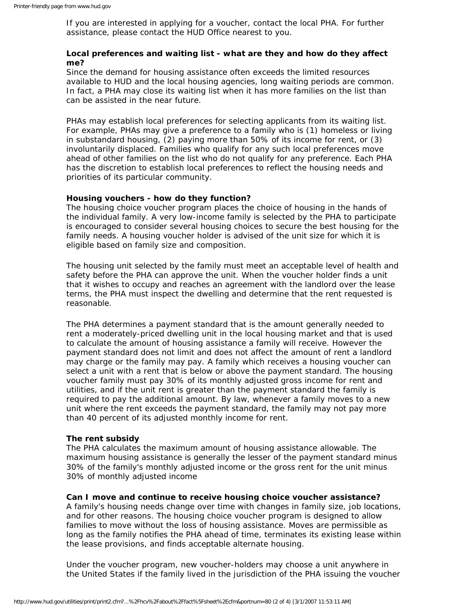If you are interested in applying for a voucher, contact the local PHA. For further assistance, please contact the HUD Office nearest to you.

# **Local preferences and waiting list - what are they and how do they affect me?**

Since the demand for housing assistance often exceeds the limited resources available to HUD and the local housing agencies, long waiting periods are common. In fact, a PHA may close its waiting list when it has more families on the list than can be assisted in the near future.

PHAs may establish local preferences for selecting applicants from its waiting list. For example, PHAs may give a preference to a family who is (1) homeless or living in substandard housing, (2) paying more than 50% of its income for rent, or (3) involuntarily displaced. Families who qualify for any such local preferences move ahead of other families on the list who do not qualify for any preference. Each PHA has the discretion to establish local preferences to reflect the housing needs and priorities of its particular community.

## **Housing vouchers - how do they function?**

The housing choice voucher program places the choice of housing in the hands of the individual family. A very low-income family is selected by the PHA to participate is encouraged to consider several housing choices to secure the best housing for the family needs. A housing voucher holder is advised of the unit size for which it is eligible based on family size and composition.

The housing unit selected by the family must meet an acceptable level of health and safety before the PHA can approve the unit. When the voucher holder finds a unit that it wishes to occupy and reaches an agreement with the landlord over the lease terms, the PHA must inspect the dwelling and determine that the rent requested is reasonable.

The PHA determines a payment standard that is the amount generally needed to rent a moderately-priced dwelling unit in the local housing market and that is used to calculate the amount of housing assistance a family will receive. However the payment standard does not limit and does not affect the amount of rent a landlord may charge or the family may pay. A family which receives a housing voucher can select a unit with a rent that is below or above the payment standard. The housing voucher family must pay 30% of its monthly adjusted gross income for rent and utilities, and if the unit rent is greater than the payment standard the family is required to pay the additional amount. By law, whenever a family moves to a new unit where the rent exceeds the payment standard, the family may not pay more than 40 percent of its adjusted monthly income for rent.

#### **The rent subsidy**

The PHA calculates the maximum amount of housing assistance allowable. The maximum housing assistance is generally the lesser of the payment standard minus 30% of the family's monthly adjusted income or the gross rent for the unit minus 30% of monthly adjusted income

#### **Can I move and continue to receive housing choice voucher assistance?**

A family's housing needs change over time with changes in family size, job locations, and for other reasons. The housing choice voucher program is designed to allow families to move without the loss of housing assistance. Moves are permissible as long as the family notifies the PHA ahead of time, terminates its existing lease within the lease provisions, and finds acceptable alternate housing.

Under the voucher program, new voucher-holders may choose a unit anywhere in the United States if the family lived in the jurisdiction of the PHA issuing the voucher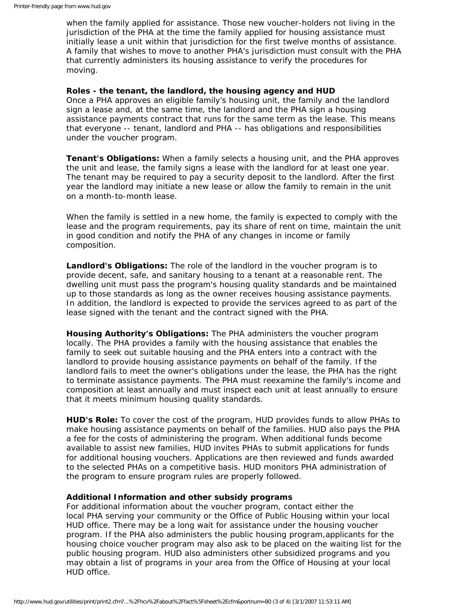when the family applied for assistance. Those new voucher-holders not living in the jurisdiction of the PHA at the time the family applied for housing assistance must initially lease a unit within that jurisdiction for the first twelve months of assistance. A family that wishes to move to another PHA's jurisdiction must consult with the PHA that currently administers its housing assistance to verify the procedures for moving.

# **Roles - the tenant, the landlord, the housing agency and HUD**

Once a PHA approves an eligible family's housing unit, the family and the landlord sign a lease and, at the same time, the landlord and the PHA sign a housing assistance payments contract that runs for the same term as the lease. This means that everyone -- tenant, landlord and PHA -- has obligations and responsibilities under the voucher program.

**Tenant's Obligations:** When a family selects a housing unit, and the PHA approves the unit and lease, the family signs a lease with the landlord for at least one year. The tenant may be required to pay a security deposit to the landlord. After the first year the landlord may initiate a new lease or allow the family to remain in the unit on a month-to-month lease.

When the family is settled in a new home, the family is expected to comply with the lease and the program requirements, pay its share of rent on time, maintain the unit in good condition and notify the PHA of any changes in income or family composition.

**Landlord's Obligations:** The role of the landlord in the voucher program is to provide decent, safe, and sanitary housing to a tenant at a reasonable rent. The dwelling unit must pass the program's housing quality standards and be maintained up to those standards as long as the owner receives housing assistance payments. In addition, the landlord is expected to provide the services agreed to as part of the lease signed with the tenant and the contract signed with the PHA.

**Housing Authority's Obligations:** The PHA administers the voucher program locally. The PHA provides a family with the housing assistance that enables the family to seek out suitable housing and the PHA enters into a contract with the landlord to provide housing assistance payments on behalf of the family. If the landlord fails to meet the owner's obligations under the lease, the PHA has the right to terminate assistance payments. The PHA must reexamine the family's income and composition at least annually and must inspect each unit at least annually to ensure that it meets minimum housing quality standards.

**HUD's Role:** To cover the cost of the program, HUD provides funds to allow PHAs to make housing assistance payments on behalf of the families. HUD also pays the PHA a fee for the costs of administering the program. When additional funds become available to assist new families, HUD invites PHAs to submit applications for funds for additional housing vouchers. Applications are then reviewed and funds awarded to the selected PHAs on a competitive basis. HUD monitors PHA administration of the program to ensure program rules are properly followed.

# **Additional Information and other subsidy programs**

For additional information about the voucher program, contact either the local PHA serving your community or the Office of Public Housing within your local HUD office. There may be a long wait for assistance under the housing voucher program. If the PHA also administers the public housing program,applicants for the housing choice voucher program may also ask to be placed on the waiting list for the public housing program. HUD also administers other subsidized programs and you may obtain a list of programs in your area from the Office of Housing at your local HUD office.